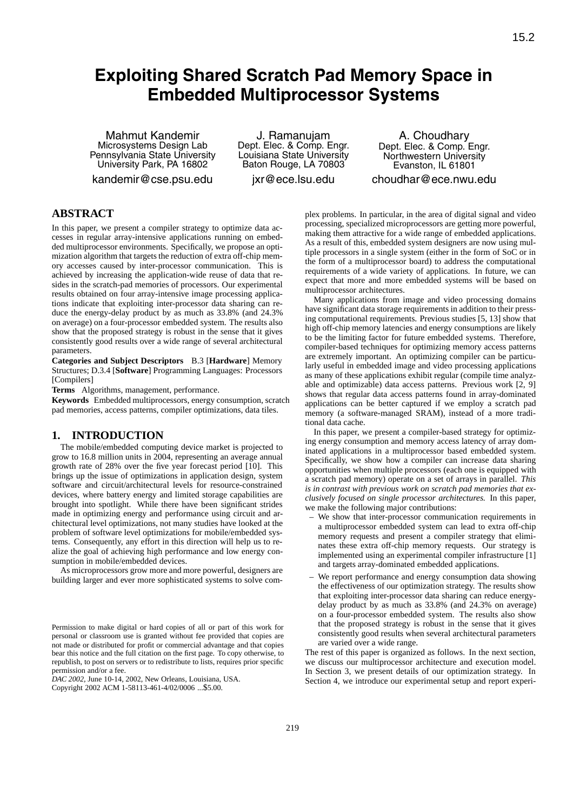# **Exploiting Shared Scratch Pad Memory Space in Embedded Multiprocessor Systems**

Mahmut Kandemir Microsystems Design Lab Pennsylvania State University University Park, PA 16802 kandemir@cse.psu.edu

J. Ramanujam Dept. Elec. & Comp. Engr. Louisiana State University Baton Rouge, LA 70803

jxr@ece.lsu.edu

A. Choudhary Dept. Elec. & Comp. Engr. Northwestern University Evanston, IL 61801 choudhar@ece.nwu.edu

## **ABSTRACT**

In this paper, we present a compiler strategy to optimize data accesses in regular array-intensive applications running on embedded multiprocessor environments. Specifically, we propose an optimization algorithm that targets the reduction of extra off-chip memory accesses caused by inter-processor communication. This is achieved by increasing the application-wide reuse of data that resides in the scratch-pad memories of processors. Our experimental results obtained on four array-intensive image processing applications indicate that exploiting inter-processor data sharing can reduce the energy-delay product by as much as 33.8% (and 24.3% on average) on a four-processor embedded system. The results also show that the proposed strategy is robust in the sense that it gives consistently good results over a wide range of several architectural parameters.

**Categories and Subject Descriptors** B.3 [**Hardware**] Memory Structures; D.3.4 [**Software**] Programming Languages: Processors [Compilers]

**Terms** Algorithms, management, performance.

**Keywords** Embedded multiprocessors, energy consumption, scratch pad memories, access patterns, compiler optimizations, data tiles.

## **1. INTRODUCTION**

The mobile/embedded computing device market is projected to grow to 16.8 million units in 2004, representing an average annual growth rate of 28% over the five year forecast period [10]. This brings up the issue of optimizations in application design, system software and circuit/architectural levels for resource-constrained devices, where battery energy and limited storage capabilities are brought into spotlight. While there have been significant strides made in optimizing energy and performance using circuit and architectural level optimizations, not many studies have looked at the problem of software level optimizations for mobile/embedded systems. Consequently, any effort in this direction will help us to realize the goal of achieving high performance and low energy consumption in mobile/embedded devices.

As microprocessors grow more and more powerful, designers are building larger and ever more sophisticated systems to solve com-

*DAC 2002,* June 10-14, 2002, New Orleans, Louisiana, USA. Copyright 2002 ACM 1-58113-461-4/02/0006 ...\$5.00.

plex problems. In particular, in the area of digital signal and video processing, specialized microprocessors are getting more powerful, making them attractive for a wide range of embedded applications. As a result of this, embedded system designers are now using multiple processors in a single system (either in the form of SoC or in the form of a multiprocessor board) to address the computational requirements of a wide variety of applications. In future, we can expect that more and more embedded systems will be based on multiprocessor architectures.

Many applications from image and video processing domains have significant data storage requirements in addition to their pressing computational requirements. Previous studies [5, 13] show that high off-chip memory latencies and energy consumptions are likely to be the limiting factor for future embedded systems. Therefore, compiler-based techniques for optimizing memory access patterns are extremely important. An optimizing compiler can be particularly useful in embedded image and video processing applications as many of these applications exhibit regular (compile time analyzable and optimizable) data access patterns. Previous work [2, 9] shows that regular data access patterns found in array-dominated applications can be better captured if we employ a scratch pad memory (a software-managed SRAM), instead of a more traditional data cache.

In this paper, we present a compiler-based strategy for optimizing energy consumption and memory access latency of array dominated applications in a multiprocessor based embedded system. Specifically, we show how a compiler can increase data sharing opportunities when multiple processors (each one is equipped with a scratch pad memory) operate on a set of arrays in parallel. *This is in contrast with previous work on scratch pad memories that exclusively focused on single processor architectures.* In this paper, we make the following major contributions:

- We show that inter-processor communication requirements in a multiprocessor embedded system can lead to extra off-chip memory requests and present a compiler strategy that eliminates these extra off-chip memory requests. Our strategy is implemented using an experimental compiler infrastructure [1] and targets array-dominated embedded applications.
- We report performance and energy consumption data showing the effectiveness of our optimization strategy. The results show that exploiting inter-processor data sharing can reduce energydelay product by as much as 33.8% (and 24.3% on average) on a four-processor embedded system. The results also show that the proposed strategy is robust in the sense that it gives consistently good results when several architectural parameters are varied over a wide range.

The rest of this paper is organized as follows. In the next section, we discuss our multiprocessor architecture and execution model. In Section 3, we present details of our optimization strategy. In Section 4, we introduce our experimental setup and report experi-

Permission to make digital or hard copies of all or part of this work for personal or classroom use is granted without fee provided that copies are not made or distributed for profit or commercial advantage and that copies bear this notice and the full citation on the first page. To copy otherwise, to republish, to post on servers or to redistribute to lists, requires prior specific permission and/or a fee.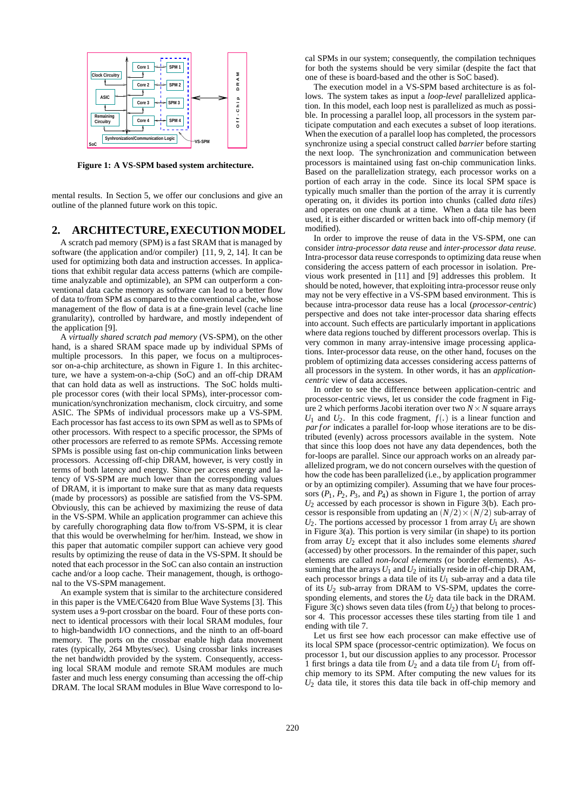

**Figure 1: A VS-SPM based system architecture.**

mental results. In Section 5, we offer our conclusions and give an outline of the planned future work on this topic.

#### **2. ARCHITECTURE, EXECUTION MODEL**

A scratch pad memory (SPM) is a fast SRAM that is managed by software (the application and/or compiler) [11, 9, 2, 14]. It can be used for optimizing both data and instruction accesses. In applications that exhibit regular data access patterns (which are compiletime analyzable and optimizable), an SPM can outperform a conventional data cache memory as software can lead to a better flow of data to/from SPM as compared to the conventional cache, whose management of the flow of data is at a fine-grain level (cache line granularity), controlled by hardware, and mostly independent of the application [9].

A *virtually shared scratch pad memory* (VS-SPM), on the other hand, is a shared SRAM space made up by individual SPMs of multiple processors. In this paper, we focus on a multiprocessor on-a-chip architecture, as shown in Figure 1. In this architecture, we have a system-on-a-chip (SoC) and an off-chip DRAM that can hold data as well as instructions. The SoC holds multiple processor cores (with their local SPMs), inter-processor communication/synchronization mechanism, clock circuitry, and some ASIC. The SPMs of individual processors make up a VS-SPM. Each processor has fast access to its own SPM as well as to SPMs of other processors. With respect to a specific processor, the SPMs of other processors are referred to as remote SPMs. Accessing remote SPMs is possible using fast on-chip communication links between processors. Accessing off-chip DRAM, however, is very costly in terms of both latency and energy. Since per access energy and latency of VS-SPM are much lower than the corresponding values of DRAM, it is important to make sure that as many data requests (made by processors) as possible are satisfied from the VS-SPM. Obviously, this can be achieved by maximizing the reuse of data in the VS-SPM. While an application programmer can achieve this by carefully chorographing data flow to/from VS-SPM, it is clear that this would be overwhelming for her/him. Instead, we show in this paper that automatic compiler support can achieve very good results by optimizing the reuse of data in the VS-SPM. It should be noted that each processor in the SoC can also contain an instruction cache and/or a loop cache. Their management, though, is orthogonal to the VS-SPM management.

An example system that is similar to the architecture considered in this paper is the VME/C6420 from Blue Wave Systems [3]. This system uses a 9-port crossbar on the board. Four of these ports connect to identical processors with their local SRAM modules, four to high-bandwidth I/O connections, and the ninth to an off-board memory. The ports on the crossbar enable high data movement rates (typically, 264 Mbytes/sec). Using crossbar links increases the net bandwidth provided by the system. Consequently, accessing local SRAM module and remote SRAM modules are much faster and much less energy consuming than accessing the off-chip DRAM. The local SRAM modules in Blue Wave correspond to lo-

cal SPMs in our system; consequently, the compilation techniques for both the systems should be very similar (despite the fact that one of these is board-based and the other is SoC based).

The execution model in a VS-SPM based architecture is as follows. The system takes as input a *loop-level* parallelized application. In this model, each loop nest is parallelized as much as possible. In processing a parallel loop, all processors in the system participate computation and each executes a subset of loop iterations. When the execution of a parallel loop has completed, the processors synchronize using a special construct called *barrier* before starting the next loop. The synchronization and communication between processors is maintained using fast on-chip communication links. Based on the parallelization strategy, each processor works on a portion of each array in the code. Since its local SPM space is typically much smaller than the portion of the array it is currently operating on, it divides its portion into chunks (called *data tiles*) and operates on one chunk at a time. When a data tile has been used, it is either discarded or written back into off-chip memory (if modified).

In order to improve the reuse of data in the VS-SPM, one can consider *intra-processor data reuse* and *inter-processor data reuse.* Intra-processor data reuse corresponds to optimizing data reuse when considering the access pattern of each processor in isolation. Previous work presented in [11] and [9] addresses this problem. It should be noted, however, that exploiting intra-processor reuse only may not be very effective in a VS-SPM based environment. This is because intra-processor data reuse has a local (*processor-centric*) perspective and does not take inter-processor data sharing effects into account. Such effects are particularly important in applications where data regions touched by different processors overlap. This is very common in many array-intensive image processing applications. Inter-processor data reuse, on the other hand, focuses on the problem of optimizing data accesses considering access patterns of all processors in the system. In other words, it has an *applicationcentric* view of data accesses.

In order to see the difference between application-centric and processor-centric views, let us consider the code fragment in Figure 2 which performs Jacobi iteration over two  $N \times N$  square arrays  $U_1$  and  $U_2$ . In this code fragment,  $f(.)$  is a linear function and *par f or* indicates a parallel for-loop whose iterations are to be distributed (evenly) across processors available in the system. Note that since this loop does not have any data dependences, both the for-loops are parallel. Since our approach works on an already parallelized program, we do not concern ourselves with the question of how the code has been parallelized (i.e., by application programmer or by an optimizing compiler). Assuming that we have four processors  $(P_1, P_2, P_3, \text{ and } P_4)$  as shown in Figure 1, the portion of array  $U_2$  accessed by each processor is shown in Figure 3(b). Each processor is responsible from updating an  $(N/2) \times (N/2)$  sub-array of  $U_2$ . The portions accessed by processor 1 from array  $U_1$  are shown in Figure 3(a). This portion is very similar (in shape) to its portion from array *U*<sup>2</sup> except that it also includes some elements *shared* (accessed) by other processors. In the remainder of this paper, such elements are called *non-local elements* (or border elements). Assuming that the arrays  $U_1$  and  $U_2$  initially reside in off-chip DRAM, each processor brings a data tile of its *U*<sup>1</sup> sub-array and a data tile of its *U*<sup>2</sup> sub-array from DRAM to VS-SPM, updates the corresponding elements, and stores the  $U_2$  data tile back in the DRAM. Figure 3(c) shows seven data tiles (from  $U_2$ ) that belong to processor 4. This processor accesses these tiles starting from tile 1 and ending with tile 7.

Let us first see how each processor can make effective use of its local SPM space (processor-centric optimization). We focus on processor 1, but our discussion applies to any processor. Processor 1 first brings a data tile from  $U_2$  and a data tile from  $U_1$  from offchip memory to its SPM. After computing the new values for its *U*<sup>2</sup> data tile, it stores this data tile back in off-chip memory and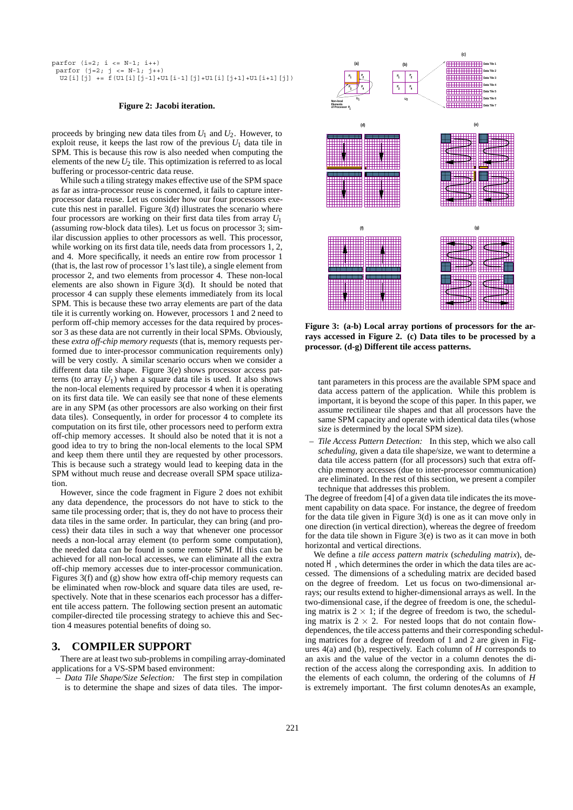| $partor$ (i=2; i <= N-1; i++)                                  |  |
|----------------------------------------------------------------|--|
| parfor $(j=2; j \le N-1; j++)$                                 |  |
| $U2[i][j]$ += $f(U1[i][j-1]+U1[i-1][j]+U1[i][j+1]+U1[i+1][j])$ |  |

#### **Figure 2: Jacobi iteration.**

proceeds by bringing new data tiles from  $U_1$  and  $U_2$ . However, to exploit reuse, it keeps the last row of the previous  $U_1$  data tile in SPM. This is because this row is also needed when computing the elements of the new  $U_2$  tile. This optimization is referred to as local buffering or processor-centric data reuse.

While such a tiling strategy makes effective use of the SPM space as far as intra-processor reuse is concerned, it fails to capture interprocessor data reuse. Let us consider how our four processors execute this nest in parallel. Figure 3(d) illustrates the scenario where four processors are working on their first data tiles from array *U*<sup>1</sup> (assuming row-block data tiles). Let us focus on processor 3; similar discussion applies to other processors as well. This processor, while working on its first data tile, needs data from processors 1, 2, and 4. More specifically, it needs an entire row from processor 1 (that is, the last row of processor 1's last tile), a single element from processor 2, and two elements from processor 4. These non-local elements are also shown in Figure 3(d). It should be noted that processor 4 can supply these elements immediately from its local SPM. This is because these two array elements are part of the data tile it is currently working on. However, processors 1 and 2 need to perform off-chip memory accesses for the data required by processor 3 as these data are not currently in their local SPMs. Obviously, these *extra off-chip memory requests* (that is, memory requests performed due to inter-processor communication requirements only) will be very costly. A similar scenario occurs when we consider a different data tile shape. Figure 3(e) shows processor access patterns (to array  $U_1$ ) when a square data tile is used. It also shows the non-local elements required by processor 4 when it is operating on its first data tile. We can easily see that none of these elements are in any SPM (as other processors are also working on their first data tiles). Consequently, in order for processor 4 to complete its computation on its first tile, other processors need to perform extra off-chip memory accesses. It should also be noted that it is not a good idea to try to bring the non-local elements to the local SPM and keep them there until they are requested by other processors. This is because such a strategy would lead to keeping data in the SPM without much reuse and decrease overall SPM space utilization.

However, since the code fragment in Figure 2 does not exhibit any data dependence, the processors do not have to stick to the same tile processing order; that is, they do not have to process their data tiles in the same order. In particular, they can bring (and process) their data tiles in such a way that whenever one processor needs a non-local array element (to perform some computation), the needed data can be found in some remote SPM. If this can be achieved for all non-local accesses, we can eliminate all the extra off-chip memory accesses due to inter-processor communication. Figures 3(f) and (g) show how extra off-chip memory requests can be eliminated when row-block and square data tiles are used, respectively. Note that in these scenarios each processor has a different tile access pattern. The following section present an automatic compiler-directed tile processing strategy to achieve this and Section 4 measures potential benefits of doing so.

#### **3. COMPILER SUPPORT**

There are at least two sub-problems in compiling array-dominated applications for a VS-SPM based environment:

– *Data Tile Shape/Size Selection:* The first step in compilation is to determine the shape and sizes of data tiles. The impor-



**Figure 3: (a-b) Local array portions of processors for the arrays accessed in Figure 2. (c) Data tiles to be processed by a processor. (d-g) Different tile access patterns.**

tant parameters in this process are the available SPM space and data access pattern of the application. While this problem is important, it is beyond the scope of this paper. In this paper, we assume rectilinear tile shapes and that all processors have the same SPM capacity and operate with identical data tiles (whose size is determined by the local SPM size).

– *Tile Access Pattern Detection:* In this step, which we also call *scheduling,* given a data tile shape/size, we want to determine a data tile access pattern (for all processors) such that extra offchip memory accesses (due to inter-processor communication) are eliminated. In the rest of this section, we present a compiler technique that addresses this problem.

The degree of freedom [4] of a given data tile indicates the its movement capability on data space. For instance, the degree of freedom for the data tile given in Figure 3(d) is one as it can move only in one direction (in vertical direction), whereas the degree of freedom for the data tile shown in Figure 3(e) is two as it can move in both horizontal and vertical directions.

We define a *tile access pattern matrix* (*scheduling matrix*), denoted  $H$ , which determines the order in which the data tiles are accessed. The dimensions of a scheduling matrix are decided based on the degree of freedom. Let us focus on two-dimensional arrays; our results extend to higher-dimensional arrays as well. In the two-dimensional case, if the degree of freedom is one, the scheduling matrix is  $2 \times 1$ ; if the degree of freedom is two, the scheduling matrix is  $2 \times 2$ . For nested loops that do not contain flowdependences, the tile access patterns and their corresponding scheduling matrices for a degree of freedom of 1 and 2 are given in Figures 4(a) and (b), respectively. Each column of *H* corresponds to an axis and the value of the vector in a column denotes the direction of the access along the corresponding axis. In addition to the elements of each column, the ordering of the columns of *H* is extremely important. The first column denotesAs an example,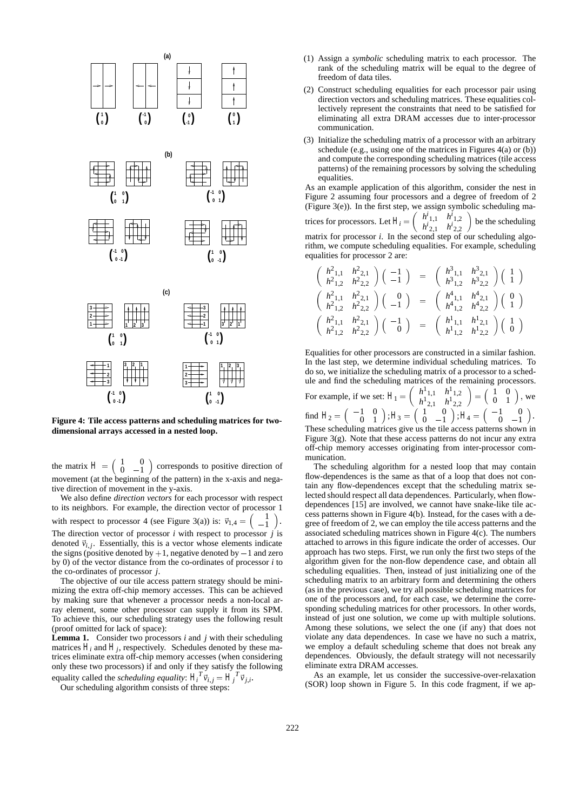

**Figure 4: Tile access patterns and scheduling matrices for twodimensional arrays accessed in a nested loop.**

the matrix  $H = \begin{pmatrix} 1 & 0 \\ 0 & -1 \end{pmatrix}$  corresponds to positive direction of movement (at the beginning of the pattern) in the x-axis and negative direction of movement in the y-axis.

We also define *direction vectors* for each processor with respect to its neighbors. For example, the direction vector of processor 1 with respect to processor 4 (see Figure 3(a)) is:  $\vec{v}_{1,4} = \begin{pmatrix} 1 \\ -1 \end{pmatrix}$ . ces

The direction vector of processor *i* with respect to processor  $\hat{j}$  is denoted  $\vec{v}_{i,j}$ . Essentially, this is a vector whose elements indicate the signs (positive denoted by  $+1$ , negative denoted by  $-1$  and zero by 0) of the vector distance from the co-ordinates of processor *i* to the co-ordinates of processor *j*.

The objective of our tile access pattern strategy should be minimizing the extra off-chip memory accesses. This can be achieved by making sure that whenever a processor needs a non-local array element, some other processor can supply it from its SPM. To achieve this, our scheduling strategy uses the following result (proof omitted for lack of space):

**Lemma 1.** Consider two processors *i* and *j* with their scheduling matrices  $H_i$  and  $H_j$ , respectively. Schedules denoted by these matrices eliminate extra off-chip memory accesses (when considering only these two processors) if and only if they satisfy the following equality called the *scheduling equality*:  $H_i^T \vec{v}_{i,j} = H_j^T \vec{v}_{j,i}$ .

Our scheduling algorithm consists of three steps:

- (1) Assign a *symbolic* scheduling matrix to each processor. The rank of the scheduling matrix will be equal to the degree of freedom of data tiles.
- (2) Construct scheduling equalities for each processor pair using direction vectors and scheduling matrices. These equalities collectively represent the constraints that need to be satisfied for eliminating all extra DRAM accesses due to inter-processor communication.
- (3) Initialize the scheduling matrix of a processor with an arbitrary schedule (e.g., using one of the matrices in Figures 4(a) or (b)) and compute the corresponding scheduling matrices (tile access patterns) of the remaining processors by solving the scheduling equalities.

As an example application of this algorithm, consider the nest in Figure 2 assuming four processors and a degree of freedom of 2 (Figure 3(e)). In the first step, we assign symbolic scheduling matrices for processors. Let  $H_i = \begin{pmatrix} h^i_{1,1} & h^i_{1,2} \\ h^i_{2,1} & h^i_{2,2} \end{pmatrix}$  be the scheduling matrix for processor *i*. In the second step of our scheduling algorithm, we compute scheduling equalities. For example, scheduling equalities for processor 2 are:

$$
\begin{pmatrix}\nh^2_{1,1} & h^2_{2,1} \\
h^2_{1,2} & h^2_{2,2}\n\end{pmatrix}\n\begin{pmatrix}\n-1 \\
-1\n\end{pmatrix} =\n\begin{pmatrix}\nh^3_{1,1} & h^3_{2,1} \\
h^3_{1,2} & h^3_{2,2}\n\end{pmatrix}\n\begin{pmatrix}\n1 \\
1\n\end{pmatrix}
$$
\n
$$
\begin{pmatrix}\nh^2_{1,1} & h^2_{2,1} \\
h^2_{1,2} & h^2_{2,2}\n\end{pmatrix}\n\begin{pmatrix}\n0 \\
-1\n\end{pmatrix} =\n\begin{pmatrix}\nh^4_{1,1} & h^4_{2,1} \\
h^4_{1,2} & h^4_{2,2}\n\end{pmatrix}\n\begin{pmatrix}\n0 \\
1\n\end{pmatrix}
$$
\n
$$
\begin{pmatrix}\nh^2_{1,1} & h^2_{2,1} \\
h^2_{1,2} & h^2_{2,2}\n\end{pmatrix}\n\begin{pmatrix}\n-1 \\
0\n\end{pmatrix} =\n\begin{pmatrix}\nh^1_{1,1} & h^1_{2,1} \\
h^1_{1,2} & h^1_{2,2}\n\end{pmatrix}\n\begin{pmatrix}\n1 \\
0\n\end{pmatrix}
$$

Equalities for other processors are constructed in a similar fashion. In the last step, we determine individual scheduling matrices. To do so, we initialize the scheduling matrix of a processor to a schedule and find the scheduling matrices of the remaining processors.

For example, if we set:  $H_1 = \begin{pmatrix} h_{1,1}^1 & h_{1,2}^1 \\ h_{2,1}^1 & h_{2,2}^1 \end{pmatrix} = \begin{pmatrix} 1 & 0 \\ 0 & 1 \end{pmatrix}$ , we  ${\rm find}\,\,H_{2}=\left(\begin{array}{cc} -1 & 0 \cr 0 & 1 \end{array}\right); H_{3}=\left(\begin{array}{cc} 1 & 0 \cr 0 & -1 \end{array}\right); H_{4}=\left(\begin{array}{cc} -1 & 0 \cr 0 & -1 \end{array}\right).$ These scheduling matrices give us the tile access patterns shown in Figure 3(g). Note that these access patterns do not incur any extra off-chip memory accesses originating from inter-processor communication.

The scheduling algorithm for a nested loop that may contain flow-dependences is the same as that of a loop that does not contain any flow-dependences except that the scheduling matrix selected should respect all data dependences. Particularly, when flowdependences [15] are involved, we cannot have snake-like tile access patterns shown in Figure 4(b). Instead, for the cases with a degree of freedom of 2, we can employ the tile access patterns and the associated scheduling matrices shown in Figure 4(c). The numbers attached to arrows in this figure indicate the order of accesses. Our approach has two steps. First, we run only the first two steps of the algorithm given for the non-flow dependence case, and obtain all scheduling equalities. Then, instead of just initializing one of the scheduling matrix to an arbitrary form and determining the others (as in the previous case), we try all possible scheduling matrices for one of the processors and, for each case, we determine the corresponding scheduling matrices for other processors. In other words, instead of just one solution, we come up with multiple solutions. Among these solutions, we select the one (if any) that does not violate any data dependences. In case we have no such a matrix, we employ a default scheduling scheme that does not break any dependences. Obviously, the default strategy will not necessarily eliminate extra DRAM accesses.

As an example, let us consider the successive-over-relaxation (SOR) loop shown in Figure 5. In this code fragment, if we ap-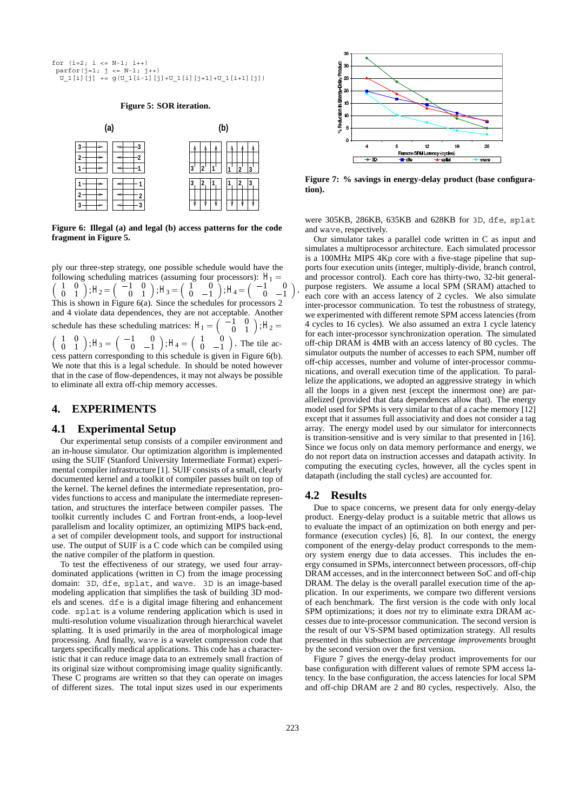





**Figure 6: Illegal (a) and legal (b) access patterns for the code fragment in Figure 5.**

ply our three-step strategy, one possible schedule would have the following scheduling matrices (assuming four processors):  $H_1$  =  $\begin{pmatrix} 1 & 0 \\ 0 & 1 \end{pmatrix}$ ;  $H_2 = \begin{pmatrix} -1 & 0 \\ 0 & 1 \end{pmatrix}$ ;  $H_3 = \begin{pmatrix} 1 & 0 \\ 0 & -1 \end{pmatrix}$ ;  $H_4 = \begin{pmatrix} -1 & 0 \\ 0 & -1 \end{pmatrix}$ . purpose This is shown in Figure 6(a). Since the schedules for processors 2 and 4 violate data dependences, they are not acceptable. Another schedule has these scheduling matrices:  $H_1 = \begin{pmatrix} -1 & 0 \\ 0 & 1 \end{pmatrix}$ ;  $H_2 = \begin{pmatrix} 4 & \text{cycle} \\ \text{for each} \end{pmatrix}$  $\begin{pmatrix} 1 & 0 \\ 0 & 1 \end{pmatrix}$ ;  $H_3 = \begin{pmatrix} -1 & 0 \\ 0 & -1 \end{pmatrix}$ ;  $H_4 = \begin{pmatrix} 1 & 0 \\ 0 & -1 \end{pmatrix}$ . The tile access pattern corresponding to this schedule is given in Figure 6(b). We note that this is a legal schedule. In should be noted however that in the case of flow-dependences, it may not always be possible to eliminate all extra off-chip memory accesses.

## **4. EXPERIMENTS**

#### **4.1 Experimental Setup**

Our experimental setup consists of a compiler environment and an in-house simulator. Our optimization algorithm is implemented using the SUIF (Stanford University Intermediate Format) experimental compiler infrastructure [1]. SUIF consists of a small, clearly documented kernel and a toolkit of compiler passes built on top of the kernel. The kernel defines the intermediate representation, provides functions to access and manipulate the intermediate representation, and structures the interface between compiler passes. The toolkit currently includes C and Fortran front-ends, a loop-level parallelism and locality optimizer, an optimizing MIPS back-end, a set of compiler development tools, and support for instructional use. The output of SUIF is a C code which can be compiled using the native compiler of the platform in question.

To test the effectiveness of our strategy, we used four arraydominated applications (written in C) from the image processing domain: 3D, dfe, splat, and wave. 3D is an image-based modeling application that simplifies the task of building 3D models and scenes. dfe is a digital image filtering and enhancement code. splat is a volume rendering application which is used in multi-resolution volume visualization through hierarchical wavelet splatting. It is used primarily in the area of morphological image processing. And finally, wave is a wavelet compression code that targets specifically medical applications. This code has a characteristic that it can reduce image data to an extremely small fraction of its original size without compromising image quality significantly. These C programs are written so that they can operate on images of different sizes. The total input sizes used in our experiments



**Figure 7: % savings in energy-delay product (base configuration).**

were 305KB, 286KB, 635KB and 628KB for 3D, dfe, splat and wave, respectively.

: each core with an access latency of 2 cycles. We also simulate Our simulator takes a parallel code written in C as input and simulates a multiprocessor architecture. Each simulated processor is a 100MHz MIPS 4Kp core with a five-stage pipeline that supports four execution units (integer, multiply-divide, branch control, and processor control). Each core has thirty-two, 32-bit generalpurpose registers. We assume a local SPM (SRAM) attached to inter-processor communication. To test the robustness of strategy, we experimented with different remote SPM access latencies (from 4 cycles to 16 cycles). We also assumed an extra 1 cycle latency for each inter-processor synchronization operation. The simulated off-chip DRAM is 4MB with an access latency of 80 cycles. The simulator outputs the number of accesses to each SPM, number off off-chip accesses, number and volume of inter-processor communications, and overall execution time of the application. To parallelize the applications, we adopted an aggressive strategy in which all the loops in a given nest (except the innermost one) are parallelized (provided that data dependences allow that). The energy model used for SPMs is very similar to that of a cache memory [12] except that it assumes full associativity and does not consider a tag array. The energy model used by our simulator for interconnects is transition-sensitive and is very similar to that presented in [16]. Since we focus only on data memory performance and energy, we do not report data on instruction accesses and datapath activity. In computing the executing cycles, however, all the cycles spent in datapath (including the stall cycles) are accounted for.

#### **4.2 Results**

Due to space concerns, we present data for only energy-delay product. Energy-delay product is a suitable metric that allows us to evaluate the impact of an optimization on both energy and performance (execution cycles) [6, 8]. In our context, the energy component of the energy-delay product corresponds to the memory system energy due to data accesses. This includes the energy consumed in SPMs, interconnect between processors, off-chip DRAM accesses, and in the interconnect between SoC and off-chip DRAM. The delay is the overall parallel execution time of the application. In our experiments, we compare two different versions of each benchmark. The first version is the code with only local SPM optimizations; it does *not* try to eliminate extra DRAM accesses due to inte-processor communication. The second version is the result of our VS-SPM based optimization strategy. All results presented in this subsection are *percentage improvements* brought by the second version over the first version.

Figure 7 gives the energy-delay product improvements for our base configuration with different values of remote SPM access latency. In the base configuration, the access latencies for local SPM and off-chip DRAM are 2 and 80 cycles, respectively. Also, the